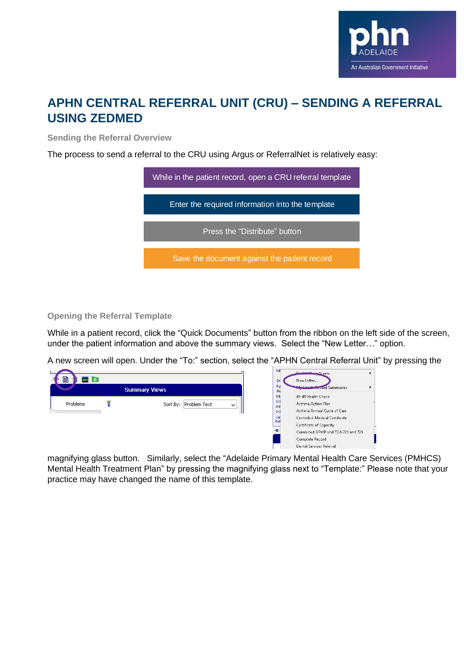

## **APHN CENTRAL REFERRAL UNIT (CRU) – SENDING A REFERRAL USING ZEDMED**

**Sending the Referral Overview**

The process to send a referral to the CRU using Argus or ReferralNet is relatively easy:

| While in the patient record, open a CRU referral template |
|-----------------------------------------------------------|
| Enter the required information into the template          |
| Press the "Distribute" button                             |
| Save the document against the patient record              |

## **Opening the Referral Template**

While in a patient record, click the "Quick Documents" button from the ribbon on the left side of the screen, under the patient information and above the summary views. Select the "New Letter…" option.

A new screen will open. Under the "To:" section, select the "APHN Central Referral Unit" by pressing the

| Ag<br><b>My Limited Cord Summaries</b><br><b>Summary Views</b><br>Ma<br>Fik<br>45-49 Health Check<br><b>IHI</b><br>Asthma Action Plan<br>Sort By: Problem Text<br>w<br>IHI<br>Asthma Annual Cycle of Care<br><b>IHI</b><br>La:<br>Centrelink Medical Certificate<br>Ref<br>Certificate of Capacity<br>œ | B<br><b>Le</b> |  | Ad<br>D) | dient Bonn Sheets<br>New Letter   |
|---------------------------------------------------------------------------------------------------------------------------------------------------------------------------------------------------------------------------------------------------------------------------------------------------------|----------------|--|----------|-----------------------------------|
|                                                                                                                                                                                                                                                                                                         |                |  |          |                                   |
|                                                                                                                                                                                                                                                                                                         | Problems       |  |          |                                   |
|                                                                                                                                                                                                                                                                                                         |                |  |          |                                   |
|                                                                                                                                                                                                                                                                                                         |                |  |          | Combined GPMP and TCA 721 and 723 |
|                                                                                                                                                                                                                                                                                                         |                |  |          | Dontal Sandear Referral           |

magnifying glass button. Similarly, select the "Adelaide Primary Mental Health Care Services (PMHCS) Mental Health Treatment Plan" by pressing the magnifying glass next to "Template:" Please note that your practice may have changed the name of this template.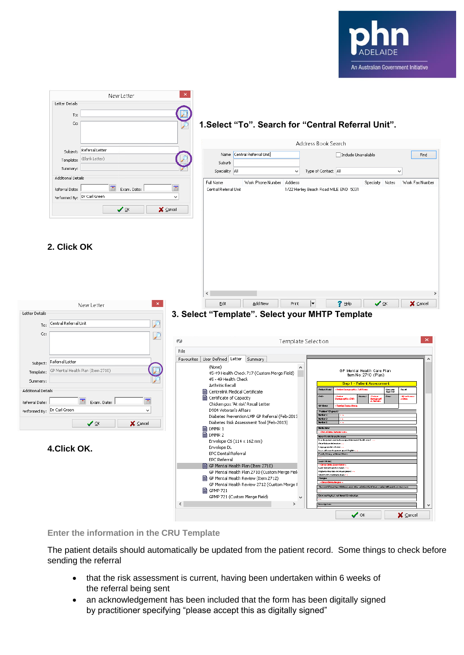

|                            | $\mathbf x$<br>New Letter                   |                                                               |                                                                                         |                                                              |                                                                                            |                                |      |
|----------------------------|---------------------------------------------|---------------------------------------------------------------|-----------------------------------------------------------------------------------------|--------------------------------------------------------------|--------------------------------------------------------------------------------------------|--------------------------------|------|
|                            | Letter Details                              |                                                               |                                                                                         |                                                              |                                                                                            |                                |      |
|                            | To:                                         |                                                               |                                                                                         |                                                              |                                                                                            |                                |      |
|                            | Cc:                                         |                                                               | 1. Select "To". Search for "Central Referral Unit".                                     |                                                              |                                                                                            |                                |      |
|                            |                                             |                                                               |                                                                                         |                                                              |                                                                                            |                                |      |
|                            |                                             |                                                               |                                                                                         | Address Book Search                                          |                                                                                            |                                |      |
|                            | Referral Letter<br>Subject:                 |                                                               | Name Central Referral Unit                                                              |                                                              | Include Unavailable                                                                        |                                | Find |
|                            | (Blank Letter)<br>Template:                 | Suburb                                                        |                                                                                         |                                                              |                                                                                            |                                |      |
|                            | Summary:                                    | Speciality All                                                | $\checkmark$                                                                            | Type of Contact All                                          |                                                                                            | v                              |      |
|                            | Additional Details                          | Full Name                                                     | Work Phone Number<br>Address                                                            |                                                              | Specialty Notes                                                                            | Work Fax Number                |      |
|                            | Exam. Date:<br>leferral Date:               | Central Referral Unit                                         |                                                                                         | 1/22 Henley Beach Road MILE END 5031                         |                                                                                            |                                |      |
|                            | Performed By: Dr Carl Green<br>$\checkmark$ |                                                               |                                                                                         |                                                              |                                                                                            |                                |      |
|                            | $\vee$ ok<br><b>X</b> ⊆ancel                |                                                               |                                                                                         |                                                              |                                                                                            |                                |      |
|                            |                                             |                                                               |                                                                                         |                                                              |                                                                                            |                                |      |
|                            |                                             |                                                               |                                                                                         |                                                              |                                                                                            |                                |      |
|                            |                                             |                                                               |                                                                                         |                                                              |                                                                                            |                                |      |
|                            |                                             |                                                               |                                                                                         |                                                              |                                                                                            |                                |      |
|                            | 2. Click OK                                 |                                                               |                                                                                         |                                                              |                                                                                            |                                |      |
|                            |                                             |                                                               |                                                                                         |                                                              |                                                                                            |                                |      |
|                            |                                             |                                                               |                                                                                         |                                                              |                                                                                            |                                |      |
|                            |                                             |                                                               |                                                                                         |                                                              |                                                                                            |                                |      |
|                            |                                             |                                                               |                                                                                         |                                                              |                                                                                            |                                |      |
|                            |                                             | ∢                                                             |                                                                                         |                                                              |                                                                                            |                                |      |
|                            | $\mathsf{x}$<br>New Letter                  | Edit                                                          | Add New<br>Print                                                                        |                                                              | $\vee$ ok<br>$?$ Help                                                                      | <b>X</b> ⊆ancel                |      |
| etter Details.             |                                             |                                                               | 3. Select "Template". Select your MHTP Template                                         |                                                              |                                                                                            |                                |      |
| To:                        | $\mathcal P$<br>Central Referral Unit       |                                                               |                                                                                         |                                                              |                                                                                            |                                |      |
| Cc:                        | $\mathcal P$                                |                                                               |                                                                                         |                                                              |                                                                                            |                                |      |
|                            | ø                                           |                                                               |                                                                                         | Template Selection                                           |                                                                                            |                                |      |
|                            | File                                        |                                                               |                                                                                         |                                                              |                                                                                            |                                |      |
| Subject:                   | Referral Letter                             | Favourites User Defined Letter                                | Summary                                                                                 |                                                              |                                                                                            |                                | ۸    |
| Template:                  | GP Mental Health Plan (Item 2710)           | (None)                                                        |                                                                                         |                                                              | GP Mental Health Care Plan                                                                 |                                |      |
| Summary:                   |                                             | 45 - 49 Health Check                                          | 45-49 Health Check 717 (Custom Merge Field)                                             |                                                              | Item No: 2710 (Plan)                                                                       |                                |      |
| Additional Details         |                                             | <b>Arthritis Recall</b>                                       |                                                                                         | <b>Status Name</b>                                           | Step 1 - Patient Assessment                                                                | Saut<br>Outcome<br>Real X (0   |      |
|                            |                                             | 图 Centrelink Medical Certificate<br>■ Certificate of Capacity |                                                                                         | poe:                                                         | Palant<br>Sekapayé                                                                         | Ozar<br>- Missolia<br>s. Catan |      |
| eferral Date:              | $\Box$<br>□<br>Exam. Date:                  |                                                               | Chicken pox 'At risk' Recall Letter                                                     | <b>GPANIE</b>                                                |                                                                                            |                                |      |
| erformed By: Dr Carl Green | v                                           | D904 Veteran's Affairs                                        | Diabetes Prevention LMP GP Referral (Feb-2013)                                          | Profession Policies<br><b>Nebert:</b>                        |                                                                                            |                                |      |
|                            | ✔∝<br>X Cancel                              |                                                               | Diabetes Risk Assessment Tool (Feb-2013)                                                | <b>Ninter2</b><br><b>Innberd:</b>                            |                                                                                            |                                |      |
|                            |                                             | ■ DMMR 1<br><b>■ DMMR2</b>                                    |                                                                                         | Medizine                                                     |                                                                                            |                                |      |
|                            |                                             |                                                               | Envelope C6 $(114 \times 162$ mm)                                                       | Nerolliwith I kery Texture<br>Dikar Relevan Informations - v | ia doperar eurreduce specific rural baid are? — 1                                          |                                |      |
|                            | 4.Click OK.                                 | Envelope DL                                                   |                                                                                         | Linguage spoker in boens – 4                                 | ko-r-allaou ikepasa apesi Englis - .                                                       |                                |      |
|                            |                                             | EPC Dental Referral<br><b>EPC Referral</b>                    |                                                                                         | <b>Castly liking of Netatility a</b>                         |                                                                                            |                                |      |
|                            |                                             |                                                               | GP Mental Health Plan (Item 2710)                                                       | Sachlitheay<br><b>Complete on the states in a</b>            |                                                                                            |                                |      |
|                            |                                             |                                                               | GP Mental Health Plan 2710 (Custom Merge Fiel-<br>■ GP Mental Health Review (Item 2712) | Other Relevant Informations<br>Mingler                       | <b>Illigherceducidan level completed - v</b>                                               |                                |      |
|                            |                                             |                                                               | GP Mental Health Review 2712 (Custom Merge F                                            |                                                              | Senset il surpregatibilizza, esse site, minitenti giù surp, cogleg vitti genti an mensersi |                                |      |
|                            |                                             | $\equiv$ GPMP 721                                             |                                                                                         |                                                              | <b>EdwardPhylicitized Neral Durationism</b>                                                |                                |      |
|                            | $\leq$                                      |                                                               | GPMP 721 (Custom Merge Field)<br>$\checkmark$<br>$\,>\,$                                | Invetarion                                                   |                                                                                            |                                |      |
|                            |                                             |                                                               |                                                                                         |                                                              |                                                                                            |                                |      |
|                            |                                             |                                                               |                                                                                         |                                                              | $\checkmark$ ok                                                                            | <b>X</b> ⊆ancel                |      |

**Enter the information in the CRU Template**

The patient details should automatically be updated from the patient record. Some things to check before sending the referral

- that the risk assessment is current, having been undertaken within 6 weeks of the referral being sent
- an acknowledgement has been included that the form has been digitally signed by practitioner specifying "please accept this as digitally signed"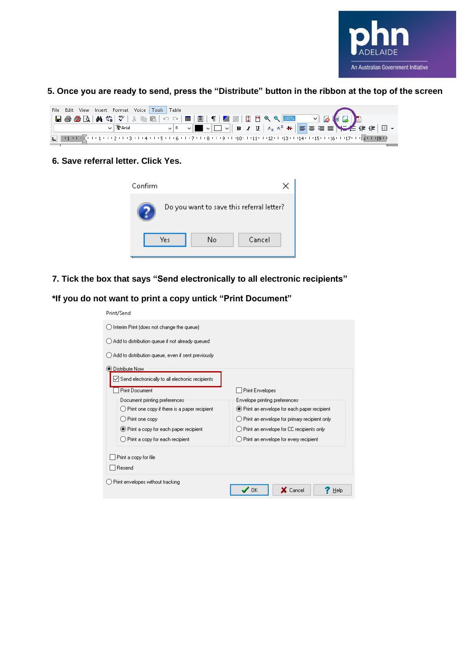

**5. Once you are ready to send, press the "Distribute" button in the ribbon at the top of the screen**

| File Edit View Insert Format Voice Tools Table |           |  |  |  |  |  |  |                                                                                     |  |
|------------------------------------------------|-----------|--|--|--|--|--|--|-------------------------------------------------------------------------------------|--|
|                                                |           |  |  |  |  |  |  |                                                                                     |  |
|                                                | ▽ 平 Arial |  |  |  |  |  |  | <b>v</b> 8 v█v□v▏B Z U│A <sub>S</sub> A <sup>S</sup> N│E ≡ ≡ ▶ <del>∠</del> ∉ ∉│⊞ ▼ |  |
|                                                |           |  |  |  |  |  |  |                                                                                     |  |

**6. Save referral letter. Click Yes.**



**7. Tick the box that says "Send electronically to all electronic recipients"**

**\*If you do not want to print a copy untick "Print Document"**

| Print/Send                                                                       |                                                         |
|----------------------------------------------------------------------------------|---------------------------------------------------------|
| Interim Print (does not change the queue)                                        |                                                         |
| Add to distribution queue if not already queued                                  |                                                         |
| Add to distribution queue, even if sent previously                               |                                                         |
| ◯ Distribute Now<br>$\sqrt{\ }$ Send electronically to all electronic recipients |                                                         |
| <b>Print Document</b>                                                            | <b>Print Envelopes</b>                                  |
| Document printing preferences                                                    | Envelope printing preferences                           |
| $\bigcirc$ Print one copy if there is a paper recipient                          | ● Print an envelope for each paper recipient            |
| ○ Print one copy                                                                 | $\bigcirc$ Print an envelope for primary recipient only |
| ● Print a copy for each paper recipient                                          | Print an envelope for CC recipients only                |
| Print a copy for each recipient                                                  | Print an envelope for every recipient                   |
| Print a copy for file                                                            |                                                         |
| Resend                                                                           |                                                         |
| Print envelopes without tracking                                                 | <b>⁄</b> ok<br>Cancel<br>Help                           |